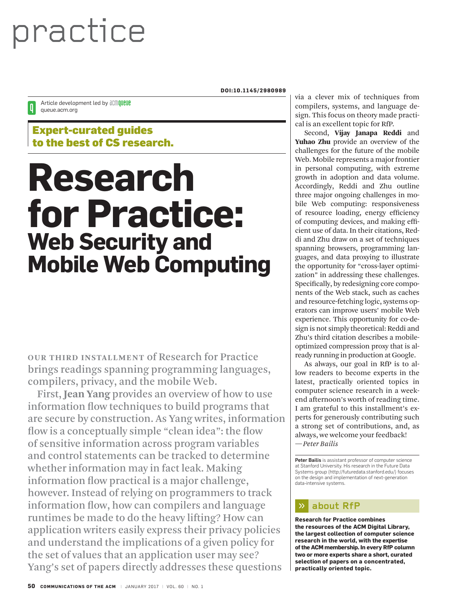# practice

Article development led by dCmuueue queue.acm.org

## Expert-curated guides to the best of CS research.

# **Research for Practice: Web Security and Mobile Web Computing**

**OUR THIRD INSTALLMENT** of Research for Practice brings readings spanning programming languages, compilers, privacy, and the mobile Web.

First, **Jean Yang** provides an overview of how to use information flow techniques to build programs that are secure by construction. As Yang writes, information flow is a conceptually simple "clean idea": the flow of sensitive information across program variables and control statements can be tracked to determine whether information may in fact leak. Making information flow practical is a major challenge, however. Instead of relying on programmers to track information flow, how can compilers and language runtimes be made to do the heavy lifting? How can application writers easily express their privacy policies and understand the implications of a given policy for the set of values that an application user may see? Yang's set of papers directly addresses these questions

via a clever mix of techniques from compilers, systems, and language design. This focus on theory made practical is an excellent topic for RfP.

**[DOI:10.1145/2980989](http://dx.doi.org/10.1145/2980989)**

Second, Vijay Janapa Reddi and Yuhao Zhu provide an overview of the challenges for the future of the mobile Web. Mobile represents a major frontier in personal computing, with extreme growth in adoption and data volume. Accordingly, Reddi and Zhu outline three major ongoing challenges in mobile Web computing: responsiveness of resource loading, energy efficiency of computing devices, and making efficient use of data. In their citations, Reddi and Zhu draw on a set of techniques spanning browsers, programming languages, and data proxying to illustrate the opportunity for "cross-layer optimization" in addressing these challenges. Specifically, by redesigning core components of the Web stack, such as caches and resource-fetching logic, systems operators can improve users' mobile Web experience. This opportunity for co-design is not simply theoretical: Reddi and Zhu's third citation describes a mobileoptimized compression proxy that is already running in production at Google.

As always, our goal in RfP is to allow readers to become experts in the latest, practically oriented topics in computer science research in a weekend afternoon's worth of reading time. I am grateful to this installment's experts for generously contributing such a strong set of contributions, and, as always, we welcome your feedback! —*Peter Bailis*

Peter Bailis is assistant professor of computer science at Stanford University. His research in the Future Data Systems group (http://futuredata.stanford.edu/) focuses on the design and implementation of next-generation data-intensive systems.

### **about RfP**

**Research for Practice combines the resources of the ACM Digital Library, the largest collection of computer science research in the world, with the expertise of the ACM membership. In every RfP column two or more experts share a short, curated selection of papers on a concentrated, practically oriented topic.**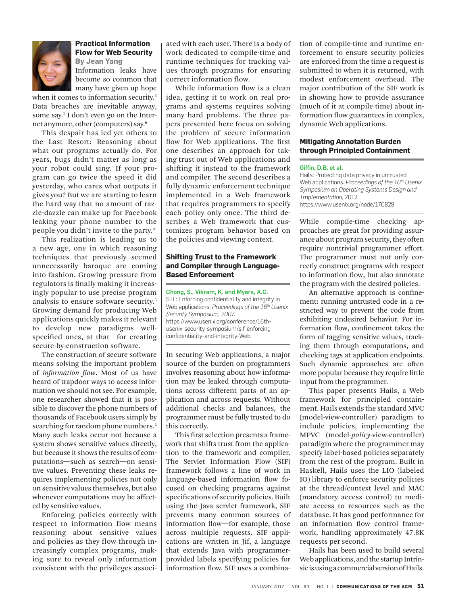

#### **Practical Information Flow for Web Security**

**By Jean Yang** Information leaks have become so common that many have given up hope

when it comes to information security.<sup>3</sup> Data breaches are inevitable anyway, some say.<sup>1</sup> I don't even go on the Internet anymore, other (computers) say.6

This despair has led yet others to the Last Resort: Reasoning about what our programs actually do. For years, bugs didn't matter as long as your robot could sing. If your program can go twice the speed it did yesterday, who cares what outputs it gives you? But we are starting to learn the hard way that no amount of razzle-dazzle can make up for Facebook leaking your phone number to the people you didn't invite to the party.4

This realization is leading us to a new age, one in which reasoning techniques that previously seemed unnecessarily baroque are coming into fashion. Growing pressure from regulators is finally making it increasingly popular to use precise program analysis to ensure software security.5 Growing demand for producing Web applications quickly makes it relevant to develop new paradigms—wellspecified ones, at that—for creating secure-by-construction software.

The construction of secure software means solving the important problem of *information flow*. Most of us have heard of trapdoor ways to access information we should not see. For example, one researcher showed that it is possible to discover the phone numbers of thousands of Facebook users simply by searching for random phone numbers.<sup>2</sup> Many such leaks occur not because a system shows sensitive values directly, but because it shows the results of computations—such as search—on sensitive values. Preventing these leaks requires implementing policies not only on sensitive values themselves, but also whenever computations may be affected by sensitive values.

Enforcing policies correctly with respect to information flow means reasoning about sensitive values and policies as they flow through increasingly complex programs, making sure to reveal only information consistent with the privileges associated with each user. There is a body of work dedicated to compile-time and runtime techniques for tracking values through programs for ensuring correct information flow.

While information flow is a clean idea, getting it to work on real programs and systems requires solving many hard problems. The three papers presented here focus on solving the problem of secure information flow for Web applications. The first one describes an approach for taking trust out of Web applications and shifting it instead to the framework and compiler. The second describes a fully dynamic enforcement technique implemented in a Web framework that requires programmers to specify each policy only once. The third describes a Web framework that customizes program behavior based on the policies and viewing context.

#### **Shifting Trust to the Framework and Compiler through Language-Based Enforcement**

Chong, S., Vikram, K. and Myers, A.C. SIF: Enforcing confidentiality and integrity in Web applications. *Proceedings of the 16th Usenix Security Symposium, 2007.* [https://www.usenix.org/conference/16th](https://www.usenix.org/conference/16th-usenix-security-symposium/sif-enforcing-confidentiality-and-integrity-Web)[usenix-security-symposium/sif-enforcing](https://www.usenix.org/conference/16th-usenix-security-symposium/sif-enforcing-confidentiality-and-integrity-Web)[confidentiality-and-integrity-Web](https://www.usenix.org/conference/16th-usenix-security-symposium/sif-enforcing-confidentiality-and-integrity-Web)

In securing Web applications, a major source of the burden on programmers involves reasoning about how information may be leaked through computations across different parts of an application and across requests. Without additional checks and balances, the programmer must be fully trusted to do this correctly.

This first selection presents a framework that shifts trust from the application to the framework and compiler. The Servlet Information Flow (SIF) framework follows a line of work in language-based information flow focused on checking programs against specifications of security policies. Built using the Java servlet framework, SIF prevents many common sources of information flow—for example, those across multiple requests. SIF applications are written in Jif, a language that extends Java with programmerprovided labels specifying policies for information flow. SIF uses a combination of compile-time and runtime enforcement to ensure security policies are enforced from the time a request is submitted to when it is returned, with modest enforcement overhead. The major contribution of the SIF work is in showing how to provide assurance (much of it at compile time) about information flow guarantees in complex, dynamic Web applications.

#### **Mitigating Annotation Burden through Principled Containment**

#### Giffin, D.B. et al.

Hails: Protecting data privacy in untrusted Web applications. *Proceedings of the 10th Usenix Symposium on Operating Systems Design and Implementation*, 2012. <https://www.usenix.org/node/170829>

While compile-time checking approaches are great for providing assurance about program security, they often require nontrivial programmer effort. The programmer must not only correctly construct programs with respect to information flow, but also annotate the program with the desired policies.

An alternative approach is confinement: running untrusted code in a restricted way to prevent the code from exhibiting undesired behavior. For information flow, confinement takes the form of tagging sensitive values, tracking them through computations, and checking tags at application endpoints. Such dynamic approaches are often more popular because they require little input from the programmer.

This paper presents Hails, a Web framework for principled containment. Hails extends the standard MVC (model-view-controller) paradigm to include policies, implementing the MPVC (model-*policy*-view-controller) paradigm where the programmer may specify label-based policies separately from the rest of the program. Built in Haskell, Hails uses the LIO (labeled IO) library to enforce security policies at the thread/context level and MAC (mandatory access control) to mediate access to resources such as the database. It has good performance for an information flow control framework, handling approximately 47.8K requests per second.

Hails has been used to build several Web applications, and the startup Intrinsic is using a commercial version of Hails.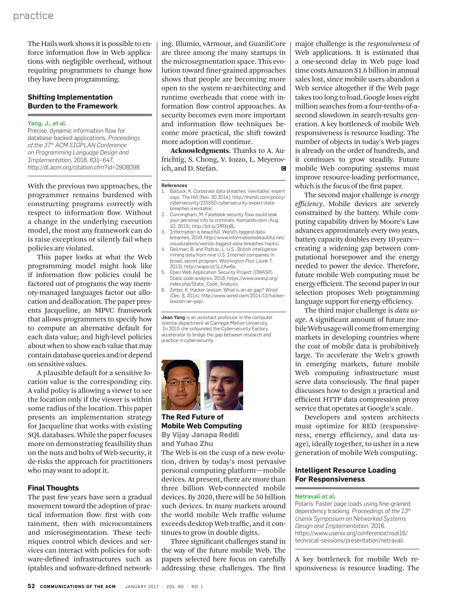The Hails work shows it is possible to enforce information flow in Web applications with negligible overhead, without requiring programmers to change how they have been programming.

#### **Shifting Implementation Burden to the Framework**

#### Yang, J., et al.

Precise, dynamic information flow for database-backed applications. *Proceedings of the 37th ACM SIGPLAN Conference on Programming Language Design and Implementation*, 2016, 631–647. http://dl.acm.org/citation.cfm?id=2908098

With the previous two approaches, the programmer remains burdened with constructing programs correctly with respect to information flow. Without a change in the underlying execution model, the most any framework can do is raise exceptions or silently fail when policies are violated.

This paper looks at what the Web programming model might look like if information flow policies could be factored out of programs the way memory-managed languages factor out allocation and deallocation. The paper presents Jacqueline, an MPVC framework that allows programmers to specify how to compute an alternative default for each data value; and high-level policies about when to show each value that may contain database queries and/or depend on sensitive values.

A plausible default for a sensitive location value is the corresponding city. A valid policy is allowing a viewer to see the location only if the viewer is within some radius of the location. This paper presents an implementation strategy for Jacqueline that works with existing SQL databases. While the paper focuses more on demonstrating feasibility than on the nuts and bolts of Web security, it de-risks the approach for practitioners who may want to adopt it.

#### **Final Thoughts**

The past few years have seen a gradual movement toward the adoption of practical information flow: first with containment, then with microcontainers and microsegmentation. These techniques control which devices and services can interact with policies for software-defined infrastructures such as iptables and software-defined networking. Illumio, vArmour, and GuardiCore are three among the many startups in the microsegmentation space. This evolution toward finer-grained approaches shows that people are becoming more open to the system re-architecting and runtime overheads that come with information flow control approaches. As security becomes even more important and information flow techniques become more practical, the shift toward more adoption will continue.

Acknowledgments. Thanks to A. Aufrichtig, S. Chong, V. Iozzo, L. Meyerovich, and D. Stefan.  $\blacksquare$ 

#### References

- . Balluck, K. Corporate data breaches 'inevitable,' expert says. *The Hill* (Nov. 30 2014); [http://thehill.com/policy/](http://thehill.com/policy/cybersecurity/225550-cybersecurity-expert-data-breaches-inevitable) [cybersecurity/225550-cybersecurity-expert-data](http://thehill.com/policy/cybersecurity/225550-cybersecurity-expert-data-breaches-inevitable)[breaches-inevitable.](http://thehill.com/policy/cybersecurity/225550-cybersecurity-expert-data-breaches-inevitable)
- 2. Cunningham, M. Facebook security flaw could leak your personal info to criminals. Komando.com (Aug. 10, 2015); http://bit.ly/2fRXp8L
- 3. Information is beautiful. World's biggest data breaches, 2016; [http://www.informationisbeautiful.net/](http://www.informationisbeautiful.net/visualizations/worlds-biggest-data-breaches-hacks/) [visualizations/worlds-biggest-data-breaches-hacks/.](http://www.informationisbeautiful.net/visualizations/worlds-biggest-data-breaches-hacks/)
- 4. Gellman, B. and Poitras, L. U.S., British intelligence mining data from nine U.S. Internet companies in broad, secret program. *Washin[g](https://www.washingtonpost.com/investigations/us-intelligence-mining-data-from-nine-us-internet-companies-in-broad-secret-program/2013/06/06/3a0c0da8-cebf-11e2-8845-d970ccb04497_story.html)ton Post* (June 7, 2013); http://wapo.st/1LcAw6p
- 5. Open Web Application Security Project (OWASP). Static code analysis, 2016; [https://www.owasp.org/](https://www.owasp.org/index.php/Static_Code_Analysis) [index.php/Static\\_Code\\_Analysis.](https://www.owasp.org/index.php/Static_Code_Analysis)
- 6. Zetter, K. Hacker lexicon: What is an air gap? *Wired* (Dec. 8, 2014); [http://www.wired.com/2014/12/hacker](http://www.wired.com/2014/12/hacker-lexicon-air-gap/)[lexicon-air-gap/.](http://www.wired.com/2014/12/hacker-lexicon-air-gap/)

Jean Yang is an assistant professor in the computer science department at Carnegie Mellon University. In 2015 she cofounded the Cybersecurity Factory accelerator to bridge the gap between research and practice in cybersecurity.



#### **The Red Future of Mobile Web Computing By Vijay Janapa Reddi**

**and Yuhao Zhu**

The Web is on the cusp of a new evolution, driven by today's most pervasive personal computing platform—mobile devices. At present, there are more than three billion Web-connected mobile devices. By 2020, there will be 50 billion such devices. In many markets around the world mobile Web traffic volume exceeds desktop Web traffic, and it continues to grow in double digits.

Three significant challenges stand in the way of the future mobile Web. The papers selected here focus on carefully addressing these challenges. The first major challenge is the *responsiveness* of Web applications. It is estimated that a one-second delay in Web page load time costs Amazon \$1.6 billion in annual sales lost, since mobile users abandon a Web service altogether if the Web page takes too long to load. Google loses eight million searches from a four-tenths-of-asecond slowdown in search-results generation. A key bottleneck of mobile Web responsiveness is resource loading. The number of objects in today's Web pages is already on the order of hundreds, and it continues to grow steadily. Future mobile Web computing systems must improve resource-loading performance, which is the focus of the first paper.

The second major challenge is *energy efficiency*. Mobile devices are severely constrained by the battery. While computing capability driven by Moore's Law advances approximately every two years, battery capacity doubles every 10 years creating a widening gap between computational horsepower and the energy needed to power the device. Therefore, future mobile Web computing must be energy efficient. The second paper in our selection proposes Web programming language support for energy efficiency.

The third major challenge is *data usage*. A significant amount of future mobile Web usage will come from emerging markets in developing countries where the cost of mobile data is prohibitively large. To accelerate the Web's growth in emerging markets, future mobile Web computing infrastructure must serve data consciously. The final paper discusses how to design a practical and efficient HTTP data compression proxy service that operates at Google's scale.

Developers and system architects must optimize for RED (responsiveness, energy efficiency, and data usage), ideally together, to usher in a new generation of mobile Web computing.

#### **Intelligent Resource Loading For Responsiveness**

#### Netravali et al.

Polaris: Faster page loads using fine-grained dependency tracking. *Proceedings of the 13th Usenix Symposium on Networked Systems Design and Implementation*, 2016. [https://www.usenix.org/conference/nsdi16/](https://www.usenix.org/conference/nsdi16/technical-sessions/presentation/netravali) [technical-sessions/presentation/netravali](https://www.usenix.org/conference/nsdi16/technical-sessions/presentation/netravali)

A key bottleneck for mobile Web responsiveness is resource loading. The